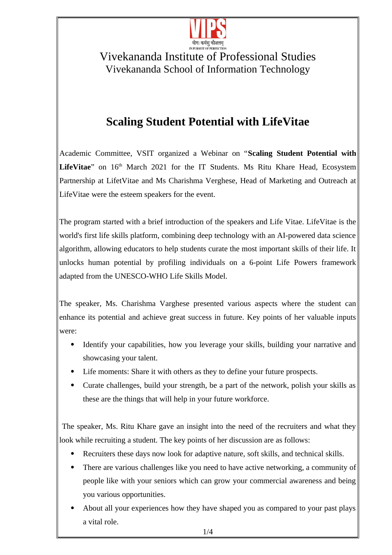

## Vivekananda Institute of Professional Studies Vivekananda School of Information Technology

## **Scaling Student Potential with LifeVitae**

Academic Committee, VSIT organized a Webinar on "**Scaling Student Potential with** LifeVitae" on 16<sup>th</sup> March 2021 for the IT Students. Ms Ritu Khare Head, Ecosystem Partnership at LifetVitae and Ms Charishma Verghese, Head of Marketing and Outreach at LifeVitae were the esteem speakers for the event.

The program started with a brief introduction of the speakers and Life Vitae. LifeVitae is the world's first life skills platform, combining deep technology with an AI-powered data science algorithm, allowing educators to help students curate the most important skills of their life. It unlocks human potential by profiling individuals on a 6-point Life Powers framework adapted from the UNESCO-WHO Life Skills Model.

The speaker, Ms. Charishma Varghese presented various aspects where the student can enhance its potential and achieve great success in future. Key points of her valuable inputs were:

- Identify your capabilities, how you leverage your skills, building your narrative and showcasing your talent.
- Life moments: Share it with others as they to define your future prospects.
- Curate challenges, build your strength, be a part of the network, polish your skills as these are the things that will help in your future workforce.

 The speaker, Ms. Ritu Khare gave an insight into the need of the recruiters and what they look while recruiting a student. The key points of her discussion are as follows:

- Recruiters these days now look for adaptive nature, soft skills, and technical skills.
- There are various challenges like you need to have active networking, a community of people like with your seniors which can grow your commercial awareness and being you various opportunities.
- About all your experiences how they have shaped you as compared to your past plays a vital role.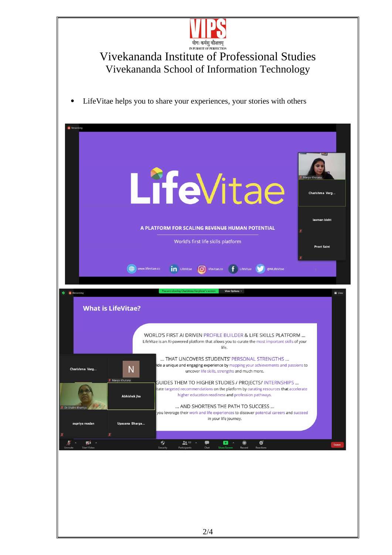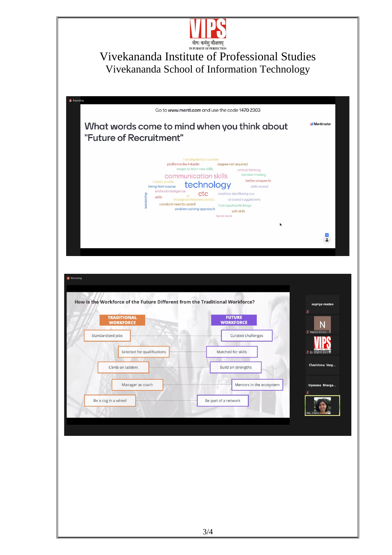

## Vivekananda Institute of Professional Studies Vivekananda School of Information Technology